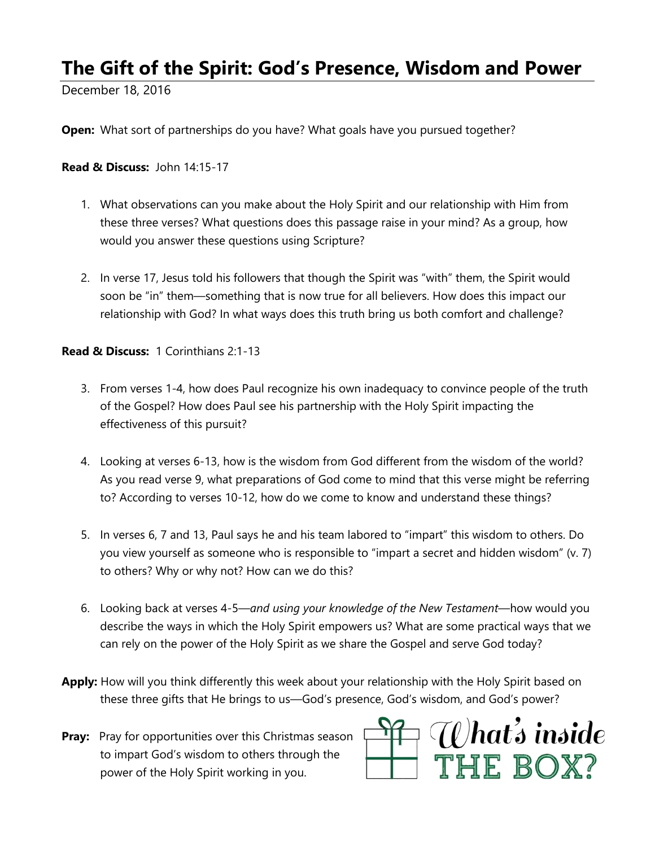## **The Gift of the Spirit: God's Presence, Wisdom and Power**

December 18, 2016

**Open:** What sort of partnerships do you have? What goals have you pursued together?

**Read & Discuss:** John 14:15-17

- 1. What observations can you make about the Holy Spirit and our relationship with Him from these three verses? What questions does this passage raise in your mind? As a group, how would you answer these questions using Scripture?
- 2. In verse 17, Jesus told his followers that though the Spirit was "with" them, the Spirit would soon be "in" them—something that is now true for all believers. How does this impact our relationship with God? In what ways does this truth bring us both comfort and challenge?

**Read & Discuss:** 1 Corinthians 2:1-13

- 3. From verses 1-4, how does Paul recognize his own inadequacy to convince people of the truth of the Gospel? How does Paul see his partnership with the Holy Spirit impacting the effectiveness of this pursuit?
- 4. Looking at verses 6-13, how is the wisdom from God different from the wisdom of the world? As you read verse 9, what preparations of God come to mind that this verse might be referring to? According to verses 10-12, how do we come to know and understand these things?
- 5. In verses 6, 7 and 13, Paul says he and his team labored to "impart" this wisdom to others. Do you view yourself as someone who is responsible to "impart a secret and hidden wisdom" (v. 7) to others? Why or why not? How can we do this?
- 6. Looking back at verses 4-5—*and using your knowledge of the New Testament*—how would you describe the ways in which the Holy Spirit empowers us? What are some practical ways that we can rely on the power of the Holy Spirit as we share the Gospel and serve God today?
- **Apply:** How will you think differently this week about your relationship with the Holy Spirit based on these three gifts that He brings to us—God's presence, God's wisdom, and God's power?

**Pray:** Pray for opportunities over this Christmas season to impart God's wisdom to others through the power of the Holy Spirit working in you.